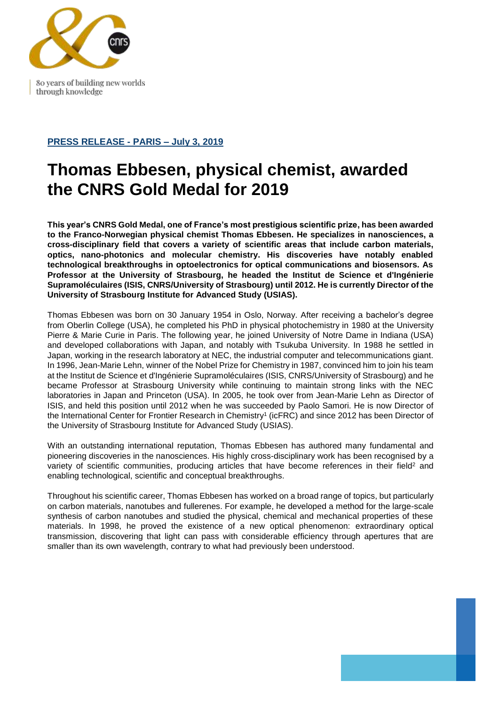

80 years of building new worlds through knowledge

## **PRESS RELEASE - PARIS – July 3, 2019**

## **Thomas Ebbesen, physical chemist, awarded the CNRS Gold Medal for 2019**

**This year's CNRS Gold Medal, one of France's most prestigious scientific prize, has been awarded to the Franco-Norwegian physical chemist Thomas Ebbesen. He specializes in nanosciences, a cross-disciplinary field that covers a variety of scientific areas that include carbon materials, optics, nano-photonics and molecular chemistry. His discoveries have notably enabled technological breakthroughs in optoelectronics for optical communications and biosensors. As Professor at the University of Strasbourg, he headed the Institut de Science et d'Ingénierie Supramoléculaires (ISIS, CNRS/University of Strasbourg) until 2012. He is currently Director of the University of Strasbourg Institute for Advanced Study (USIAS).** 

Thomas Ebbesen was born on 30 January 1954 in Oslo, Norway. After receiving a bachelor's degree from Oberlin College (USA), he completed his PhD in physical photochemistry in 1980 at the University Pierre & Marie Curie in Paris. The following year, he joined University of Notre Dame in Indiana (USA) and developed collaborations with Japan, and notably with Tsukuba University. In 1988 he settled in Japan, working in the research laboratory at NEC, the industrial computer and telecommunications giant. In 1996, Jean-Marie Lehn, winner of the Nobel Prize for Chemistry in 1987, convinced him to join his team at the Institut de Science et d'Ingénierie Supramoléculaires (ISIS, CNRS/University of Strasbourg) and he became Professor at Strasbourg University while continuing to maintain strong links with the NEC laboratories in Japan and Princeton (USA). In 2005, he took over from Jean-Marie Lehn as Director of ISIS, and held this position until 2012 when he was succeeded by Paolo Samori. He is now Director of the International Center for Frontier Research in Chemistry<sup>1</sup> (icFRC) and since 2012 has been Director of the University of Strasbourg Institute for Advanced Study (USIAS).

With an outstanding international reputation, Thomas Ebbesen has authored many fundamental and pioneering discoveries in the nanosciences. His highly cross-disciplinary work has been recognised by a variety of scientific communities, producing articles that have become references in their field<sup>2</sup> and enabling technological, scientific and conceptual breakthroughs.

Throughout his scientific career, Thomas Ebbesen has worked on a broad range of topics, but particularly on carbon materials, nanotubes and fullerenes. For example, he developed a method for the large-scale synthesis of carbon nanotubes and studied the physical, chemical and mechanical properties of these materials. In 1998, he proved the existence of a new optical phenomenon: extraordinary optical transmission, discovering that light can pass with considerable efficiency through apertures that are smaller than its own wavelength, contrary to what had previously been understood.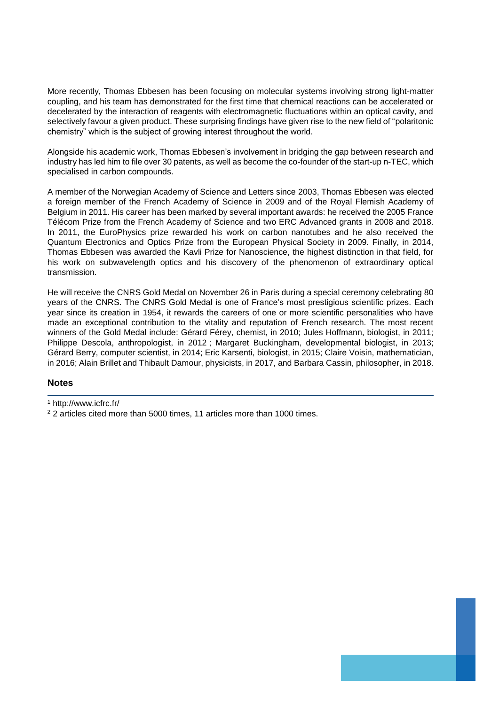More recently, Thomas Ebbesen has been focusing on molecular systems involving strong light-matter coupling, and his team has demonstrated for the first time that chemical reactions can be accelerated or decelerated by the interaction of reagents with electromagnetic fluctuations within an optical cavity, and selectively favour a given product. These surprising findings have given rise to the new field of "polaritonic chemistry" which is the subject of growing interest throughout the world.

Alongside his academic work, Thomas Ebbesen's involvement in bridging the gap between research and industry has led him to file over 30 patents, as well as become the co-founder of the start-up n-TEC, which specialised in carbon compounds.

A member of the Norwegian Academy of Science and Letters since 2003, Thomas Ebbesen was elected a foreign member of the French Academy of Science in 2009 and of the Royal Flemish Academy of Belgium in 2011. His career has been marked by several important awards: he received the 2005 France Télécom Prize from the French Academy of Science and two ERC Advanced grants in 2008 and 2018. In 2011, the EuroPhysics prize rewarded his work on carbon nanotubes and he also received the Quantum Electronics and Optics Prize from the European Physical Society in 2009. Finally, in 2014, Thomas Ebbesen was awarded the Kavli Prize for Nanoscience, the highest distinction in that field, for his work on subwavelength optics and his discovery of the phenomenon of extraordinary optical transmission.

He will receive the CNRS Gold Medal on November 26 in Paris during a special ceremony celebrating 80 years of the CNRS. The CNRS Gold Medal is one of France's most prestigious scientific prizes. Each year since its creation in 1954, it rewards the careers of one or more scientific personalities who have made an exceptional contribution to the vitality and reputation of French research. The most recent winners of the Gold Medal include: Gérard Férey, chemist, in 2010; Jules Hoffmann, biologist, in 2011; Philippe Descola, anthropologist, in 2012 ; Margaret Buckingham, developmental biologist, in 2013; Gérard Berry, computer scientist, in 2014; Eric Karsenti, biologist, in 2015; Claire Voisin, mathematician, in 2016; Alain Brillet and Thibault Damour, physicists, in 2017, and Barbara Cassin, philosopher, in 2018.

## **Notes**

<sup>1</sup> <http://www.icfrc.fr/>

<sup>&</sup>lt;sup>2</sup> 2 articles cited more than 5000 times, 11 articles more than 1000 times.